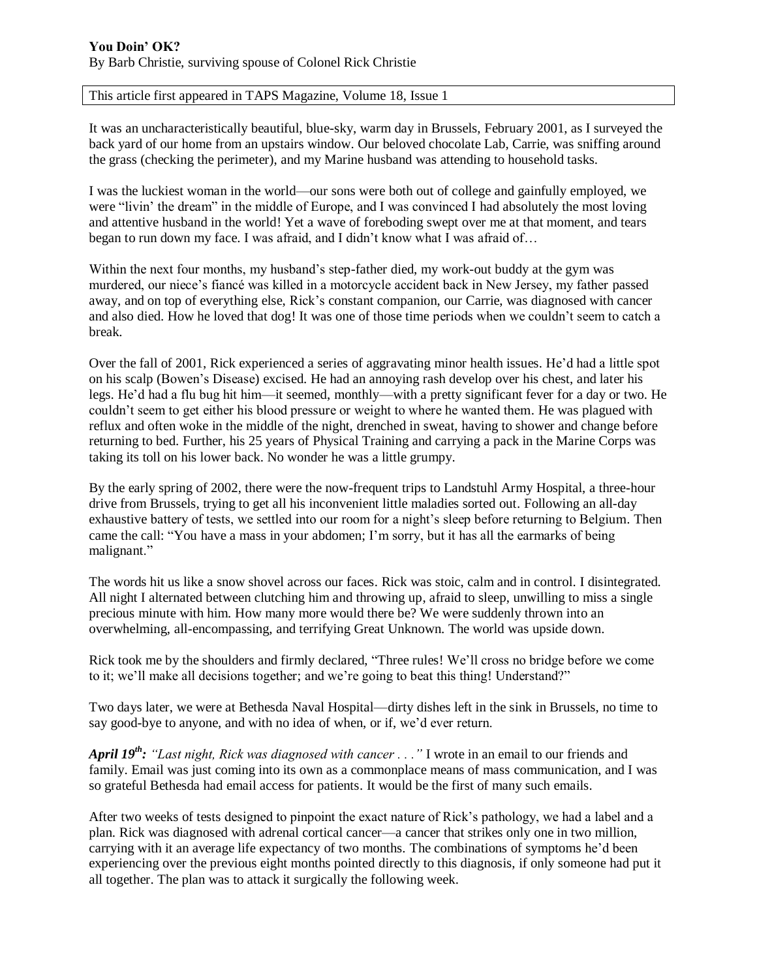## This article first appeared in TAPS Magazine, Volume 18, Issue 1

It was an uncharacteristically beautiful, blue-sky, warm day in Brussels, February 2001, as I surveyed the back yard of our home from an upstairs window. Our beloved chocolate Lab, Carrie, was sniffing around the grass (checking the perimeter), and my Marine husband was attending to household tasks.

I was the luckiest woman in the world—our sons were both out of college and gainfully employed, we were "livin' the dream" in the middle of Europe, and I was convinced I had absolutely the most loving and attentive husband in the world! Yet a wave of foreboding swept over me at that moment, and tears began to run down my face. I was afraid, and I didn't know what I was afraid of…

Within the next four months, my husband's step-father died, my work-out buddy at the gym was murdered, our niece's fiancé was killed in a motorcycle accident back in New Jersey, my father passed away, and on top of everything else, Rick's constant companion, our Carrie, was diagnosed with cancer and also died. How he loved that dog! It was one of those time periods when we couldn't seem to catch a break.

Over the fall of 2001, Rick experienced a series of aggravating minor health issues. He'd had a little spot on his scalp (Bowen's Disease) excised. He had an annoying rash develop over his chest, and later his legs. He'd had a flu bug hit him—it seemed, monthly—with a pretty significant fever for a day or two. He couldn't seem to get either his blood pressure or weight to where he wanted them. He was plagued with reflux and often woke in the middle of the night, drenched in sweat, having to shower and change before returning to bed. Further, his 25 years of Physical Training and carrying a pack in the Marine Corps was taking its toll on his lower back. No wonder he was a little grumpy.

By the early spring of 2002, there were the now-frequent trips to Landstuhl Army Hospital, a three-hour drive from Brussels, trying to get all his inconvenient little maladies sorted out. Following an all-day exhaustive battery of tests, we settled into our room for a night's sleep before returning to Belgium. Then came the call: "You have a mass in your abdomen; I'm sorry, but it has all the earmarks of being malignant."

The words hit us like a snow shovel across our faces. Rick was stoic, calm and in control. I disintegrated. All night I alternated between clutching him and throwing up, afraid to sleep, unwilling to miss a single precious minute with him. How many more would there be? We were suddenly thrown into an overwhelming, all-encompassing, and terrifying Great Unknown. The world was upside down.

Rick took me by the shoulders and firmly declared, "Three rules! We'll cross no bridge before we come to it; we'll make all decisions together; and we're going to beat this thing! Understand?"

Two days later, we were at Bethesda Naval Hospital—dirty dishes left in the sink in Brussels, no time to say good-bye to anyone, and with no idea of when, or if, we'd ever return.

*April 19th: "Last night, Rick was diagnosed with cancer . . ."* I wrote in an email to our friends and family. Email was just coming into its own as a commonplace means of mass communication, and I was so grateful Bethesda had email access for patients. It would be the first of many such emails.

After two weeks of tests designed to pinpoint the exact nature of Rick's pathology, we had a label and a plan. Rick was diagnosed with adrenal cortical cancer—a cancer that strikes only one in two million, carrying with it an average life expectancy of two months. The combinations of symptoms he'd been experiencing over the previous eight months pointed directly to this diagnosis, if only someone had put it all together. The plan was to attack it surgically the following week.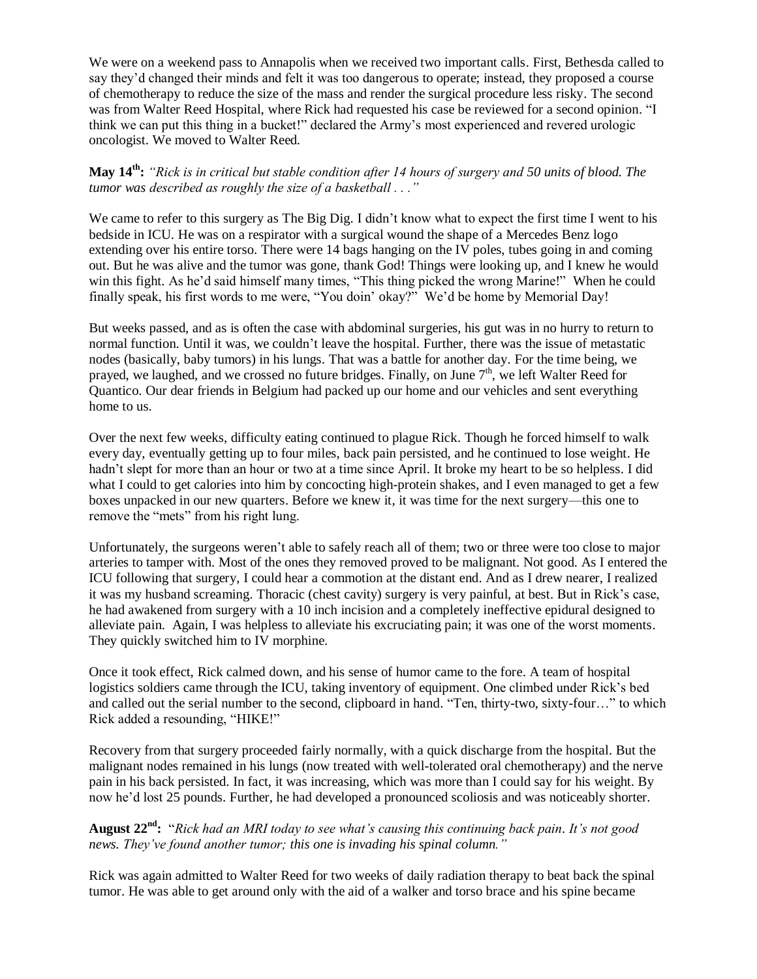We were on a weekend pass to Annapolis when we received two important calls. First, Bethesda called to say they'd changed their minds and felt it was too dangerous to operate; instead, they proposed a course of chemotherapy to reduce the size of the mass and render the surgical procedure less risky. The second was from Walter Reed Hospital, where Rick had requested his case be reviewed for a second opinion. "I think we can put this thing in a bucket!" declared the Army's most experienced and revered urologic oncologist. We moved to Walter Reed.

## **May 14th:** *"Rick is in critical but stable condition after 14 hours of surgery and 50 units of blood. The tumor was described as roughly the size of a basketball . . ."*

We came to refer to this surgery as The Big Dig. I didn't know what to expect the first time I went to his bedside in ICU. He was on a respirator with a surgical wound the shape of a Mercedes Benz logo extending over his entire torso. There were 14 bags hanging on the IV poles, tubes going in and coming out. But he was alive and the tumor was gone, thank God! Things were looking up, and I knew he would win this fight. As he'd said himself many times, "This thing picked the wrong Marine!" When he could finally speak, his first words to me were, "You doin' okay?" We'd be home by Memorial Day!

But weeks passed, and as is often the case with abdominal surgeries, his gut was in no hurry to return to normal function. Until it was, we couldn't leave the hospital. Further, there was the issue of metastatic nodes (basically, baby tumors) in his lungs. That was a battle for another day. For the time being, we prayed, we laughed, and we crossed no future bridges. Finally, on June  $7<sup>th</sup>$ , we left Walter Reed for Quantico. Our dear friends in Belgium had packed up our home and our vehicles and sent everything home to us.

Over the next few weeks, difficulty eating continued to plague Rick. Though he forced himself to walk every day, eventually getting up to four miles, back pain persisted, and he continued to lose weight. He hadn't slept for more than an hour or two at a time since April. It broke my heart to be so helpless. I did what I could to get calories into him by concocting high-protein shakes, and I even managed to get a few boxes unpacked in our new quarters. Before we knew it, it was time for the next surgery—this one to remove the "mets" from his right lung.

Unfortunately, the surgeons weren't able to safely reach all of them; two or three were too close to major arteries to tamper with. Most of the ones they removed proved to be malignant. Not good. As I entered the ICU following that surgery, I could hear a commotion at the distant end. And as I drew nearer, I realized it was my husband screaming. Thoracic (chest cavity) surgery is very painful, at best. But in Rick's case, he had awakened from surgery with a 10 inch incision and a completely ineffective epidural designed to alleviate pain. Again, I was helpless to alleviate his excruciating pain; it was one of the worst moments. They quickly switched him to IV morphine.

Once it took effect, Rick calmed down, and his sense of humor came to the fore. A team of hospital logistics soldiers came through the ICU, taking inventory of equipment. One climbed under Rick's bed and called out the serial number to the second, clipboard in hand. "Ten, thirty-two, sixty-four…" to which Rick added a resounding, "HIKE!"

Recovery from that surgery proceeded fairly normally, with a quick discharge from the hospital. But the malignant nodes remained in his lungs (now treated with well-tolerated oral chemotherapy) and the nerve pain in his back persisted. In fact, it was increasing, which was more than I could say for his weight. By now he'd lost 25 pounds. Further, he had developed a pronounced scoliosis and was noticeably shorter.

**August 22nd:** "*Rick had an MRI today to see what's causing this continuing back pain. It's not good news. They've found another tumor; this one is invading his spinal column."*

Rick was again admitted to Walter Reed for two weeks of daily radiation therapy to beat back the spinal tumor. He was able to get around only with the aid of a walker and torso brace and his spine became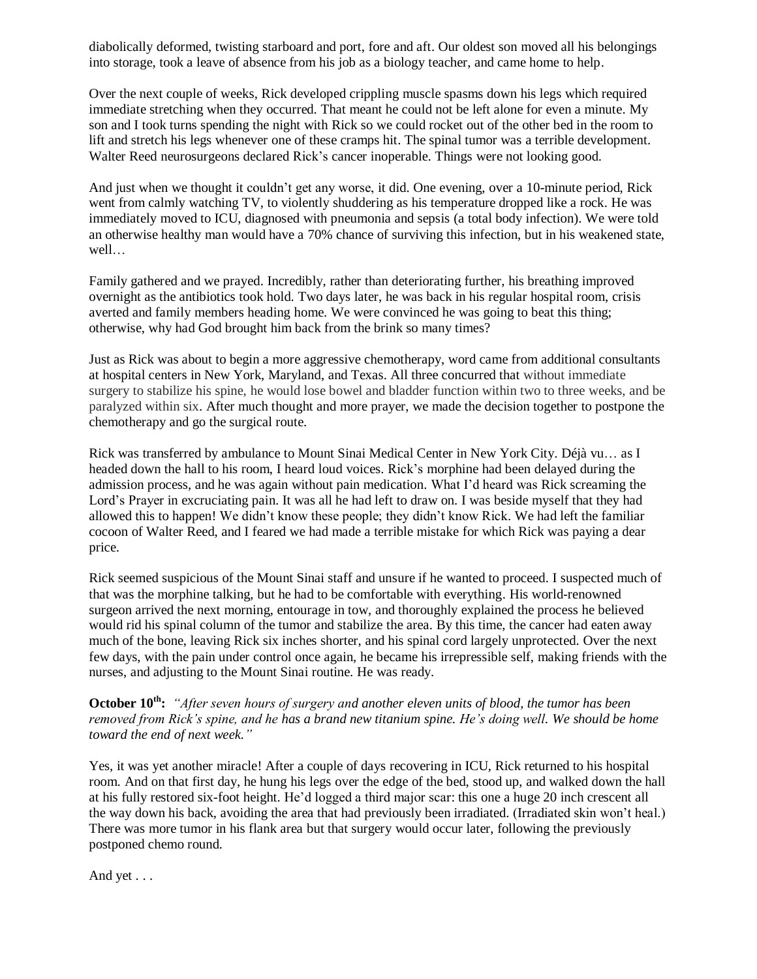diabolically deformed, twisting starboard and port, fore and aft. Our oldest son moved all his belongings into storage, took a leave of absence from his job as a biology teacher, and came home to help.

Over the next couple of weeks, Rick developed crippling muscle spasms down his legs which required immediate stretching when they occurred. That meant he could not be left alone for even a minute. My son and I took turns spending the night with Rick so we could rocket out of the other bed in the room to lift and stretch his legs whenever one of these cramps hit. The spinal tumor was a terrible development. Walter Reed neurosurgeons declared Rick's cancer inoperable. Things were not looking good.

And just when we thought it couldn't get any worse, it did. One evening, over a 10-minute period, Rick went from calmly watching TV, to violently shuddering as his temperature dropped like a rock. He was immediately moved to ICU, diagnosed with pneumonia and sepsis (a total body infection). We were told an otherwise healthy man would have a 70% chance of surviving this infection, but in his weakened state, well…

Family gathered and we prayed. Incredibly, rather than deteriorating further, his breathing improved overnight as the antibiotics took hold. Two days later, he was back in his regular hospital room, crisis averted and family members heading home. We were convinced he was going to beat this thing; otherwise, why had God brought him back from the brink so many times?

Just as Rick was about to begin a more aggressive chemotherapy, word came from additional consultants at hospital centers in New York, Maryland, and Texas. All three concurred that without immediate surgery to stabilize his spine, he would lose bowel and bladder function within two to three weeks, and be paralyzed within six. After much thought and more prayer, we made the decision together to postpone the chemotherapy and go the surgical route.

Rick was transferred by ambulance to Mount Sinai Medical Center in New York City. Déjà vu… as I headed down the hall to his room, I heard loud voices. Rick's morphine had been delayed during the admission process, and he was again without pain medication. What I'd heard was Rick screaming the Lord's Prayer in excruciating pain. It was all he had left to draw on. I was beside myself that they had allowed this to happen! We didn't know these people; they didn't know Rick. We had left the familiar cocoon of Walter Reed, and I feared we had made a terrible mistake for which Rick was paying a dear price.

Rick seemed suspicious of the Mount Sinai staff and unsure if he wanted to proceed. I suspected much of that was the morphine talking, but he had to be comfortable with everything. His world-renowned surgeon arrived the next morning, entourage in tow, and thoroughly explained the process he believed would rid his spinal column of the tumor and stabilize the area. By this time, the cancer had eaten away much of the bone, leaving Rick six inches shorter, and his spinal cord largely unprotected. Over the next few days, with the pain under control once again, he became his irrepressible self, making friends with the nurses, and adjusting to the Mount Sinai routine. He was ready.

**October 10th:** *"After seven hours of surgery and another eleven units of blood, the tumor has been removed from Rick's spine, and he has a brand new titanium spine. He's doing well. We should be home toward the end of next week."*

Yes, it was yet another miracle! After a couple of days recovering in ICU, Rick returned to his hospital room. And on that first day, he hung his legs over the edge of the bed, stood up, and walked down the hall at his fully restored six-foot height. He'd logged a third major scar: this one a huge 20 inch crescent all the way down his back, avoiding the area that had previously been irradiated. (Irradiated skin won't heal.) There was more tumor in his flank area but that surgery would occur later, following the previously postponed chemo round.

And yet . . .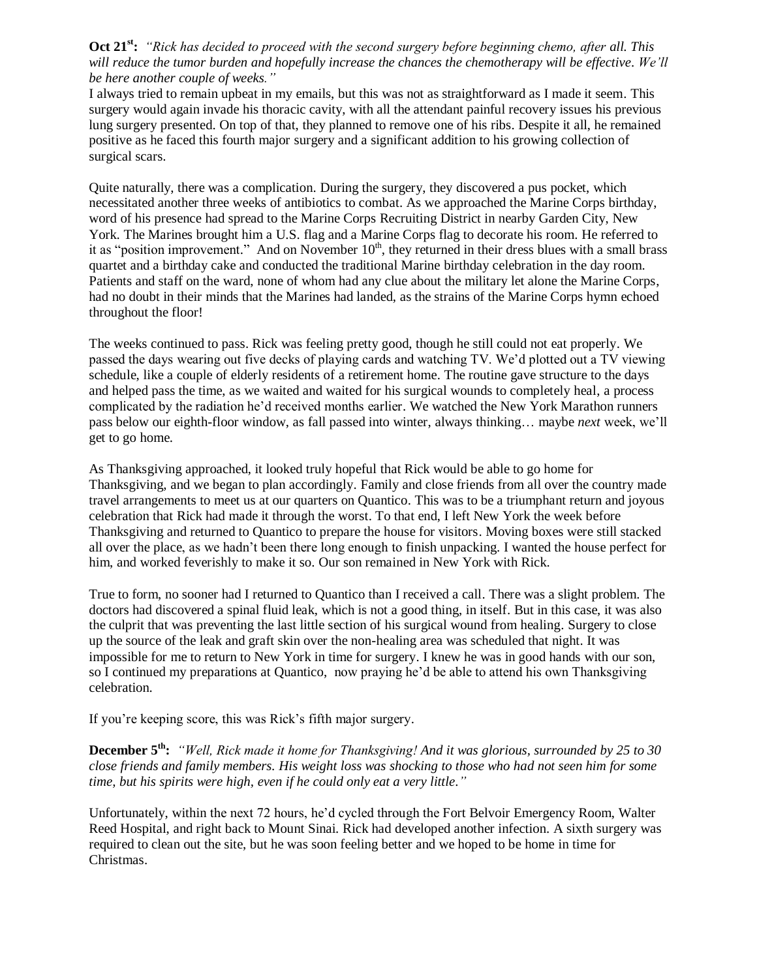## **Oct 21st:** *"Rick has decided to proceed with the second surgery before beginning chemo, after all. This will reduce the tumor burden and hopefully increase the chances the chemotherapy will be effective. We'll be here another couple of weeks."*

I always tried to remain upbeat in my emails, but this was not as straightforward as I made it seem. This surgery would again invade his thoracic cavity, with all the attendant painful recovery issues his previous lung surgery presented. On top of that, they planned to remove one of his ribs. Despite it all, he remained positive as he faced this fourth major surgery and a significant addition to his growing collection of surgical scars.

Quite naturally, there was a complication. During the surgery, they discovered a pus pocket, which necessitated another three weeks of antibiotics to combat. As we approached the Marine Corps birthday, word of his presence had spread to the Marine Corps Recruiting District in nearby Garden City, New York. The Marines brought him a U.S. flag and a Marine Corps flag to decorate his room. He referred to it as "position improvement." And on November  $10<sup>th</sup>$ , they returned in their dress blues with a small brass quartet and a birthday cake and conducted the traditional Marine birthday celebration in the day room. Patients and staff on the ward, none of whom had any clue about the military let alone the Marine Corps, had no doubt in their minds that the Marines had landed, as the strains of the Marine Corps hymn echoed throughout the floor!

The weeks continued to pass. Rick was feeling pretty good, though he still could not eat properly. We passed the days wearing out five decks of playing cards and watching TV. We'd plotted out a TV viewing schedule, like a couple of elderly residents of a retirement home. The routine gave structure to the days and helped pass the time, as we waited and waited for his surgical wounds to completely heal, a process complicated by the radiation he'd received months earlier. We watched the New York Marathon runners pass below our eighth-floor window, as fall passed into winter, always thinking… maybe *next* week, we'll get to go home.

As Thanksgiving approached, it looked truly hopeful that Rick would be able to go home for Thanksgiving, and we began to plan accordingly. Family and close friends from all over the country made travel arrangements to meet us at our quarters on Quantico. This was to be a triumphant return and joyous celebration that Rick had made it through the worst. To that end, I left New York the week before Thanksgiving and returned to Quantico to prepare the house for visitors. Moving boxes were still stacked all over the place, as we hadn't been there long enough to finish unpacking. I wanted the house perfect for him, and worked feverishly to make it so. Our son remained in New York with Rick.

True to form, no sooner had I returned to Quantico than I received a call. There was a slight problem. The doctors had discovered a spinal fluid leak, which is not a good thing, in itself. But in this case, it was also the culprit that was preventing the last little section of his surgical wound from healing. Surgery to close up the source of the leak and graft skin over the non-healing area was scheduled that night. It was impossible for me to return to New York in time for surgery. I knew he was in good hands with our son, so I continued my preparations at Quantico, now praying he'd be able to attend his own Thanksgiving celebration.

If you're keeping score, this was Rick's fifth major surgery.

**December 5th:** *"Well, Rick made it home for Thanksgiving! And it was glorious, surrounded by 25 to 30 close friends and family members. His weight loss was shocking to those who had not seen him for some time, but his spirits were high, even if he could only eat a very little."*

Unfortunately, within the next 72 hours, he'd cycled through the Fort Belvoir Emergency Room, Walter Reed Hospital, and right back to Mount Sinai. Rick had developed another infection. A sixth surgery was required to clean out the site, but he was soon feeling better and we hoped to be home in time for Christmas.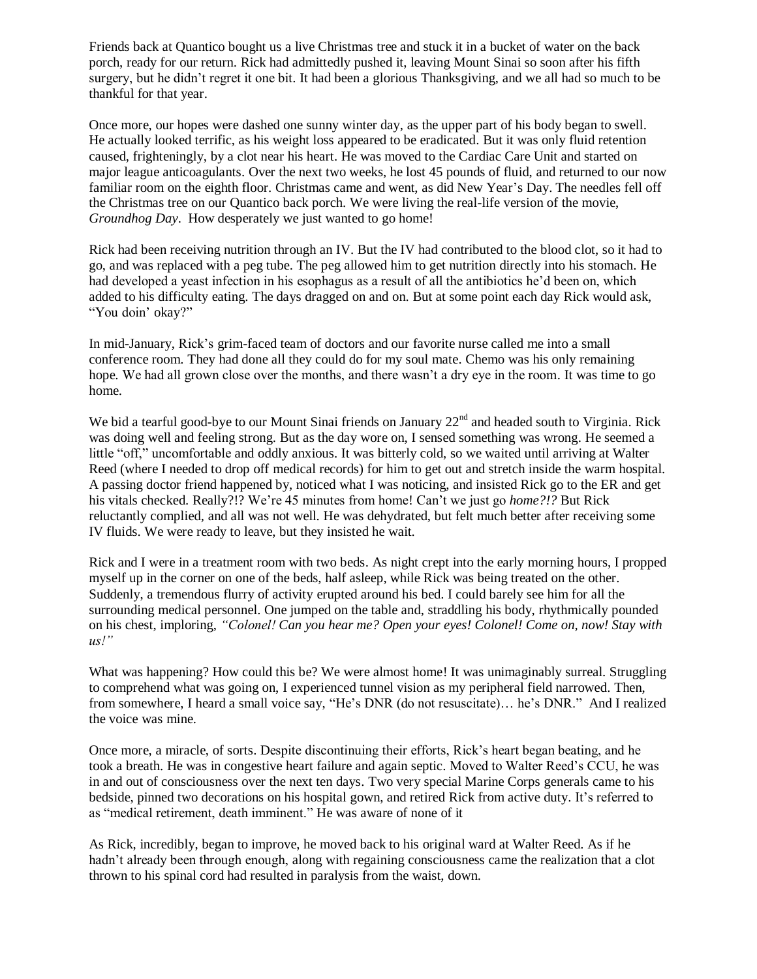Friends back at Quantico bought us a live Christmas tree and stuck it in a bucket of water on the back porch, ready for our return. Rick had admittedly pushed it, leaving Mount Sinai so soon after his fifth surgery, but he didn't regret it one bit. It had been a glorious Thanksgiving, and we all had so much to be thankful for that year.

Once more, our hopes were dashed one sunny winter day, as the upper part of his body began to swell. He actually looked terrific, as his weight loss appeared to be eradicated. But it was only fluid retention caused, frighteningly, by a clot near his heart. He was moved to the Cardiac Care Unit and started on major league anticoagulants. Over the next two weeks, he lost 45 pounds of fluid, and returned to our now familiar room on the eighth floor. Christmas came and went, as did New Year's Day. The needles fell off the Christmas tree on our Quantico back porch. We were living the real-life version of the movie, *Groundhog Day*. How desperately we just wanted to go home!

Rick had been receiving nutrition through an IV. But the IV had contributed to the blood clot, so it had to go, and was replaced with a peg tube. The peg allowed him to get nutrition directly into his stomach. He had developed a yeast infection in his esophagus as a result of all the antibiotics he'd been on, which added to his difficulty eating. The days dragged on and on. But at some point each day Rick would ask, "You doin' okay?"

In mid-January, Rick's grim-faced team of doctors and our favorite nurse called me into a small conference room. They had done all they could do for my soul mate. Chemo was his only remaining hope. We had all grown close over the months, and there wasn't a dry eye in the room. It was time to go home.

We bid a tearful good-bye to our Mount Sinai friends on January 22<sup>nd</sup> and headed south to Virginia. Rick was doing well and feeling strong. But as the day wore on, I sensed something was wrong. He seemed a little "off," uncomfortable and oddly anxious. It was bitterly cold, so we waited until arriving at Walter Reed (where I needed to drop off medical records) for him to get out and stretch inside the warm hospital. A passing doctor friend happened by, noticed what I was noticing, and insisted Rick go to the ER and get his vitals checked. Really?!? We're 45 minutes from home! Can't we just go *home?!?* But Rick reluctantly complied*,* and all was not well. He was dehydrated, but felt much better after receiving some IV fluids. We were ready to leave, but they insisted he wait.

Rick and I were in a treatment room with two beds. As night crept into the early morning hours, I propped myself up in the corner on one of the beds, half asleep, while Rick was being treated on the other. Suddenly, a tremendous flurry of activity erupted around his bed. I could barely see him for all the surrounding medical personnel. One jumped on the table and, straddling his body, rhythmically pounded on his chest, imploring, *"Colonel! Can you hear me? Open your eyes! Colonel! Come on, now! Stay with us!"* 

What was happening? How could this be? We were almost home! It was unimaginably surreal. Struggling to comprehend what was going on, I experienced tunnel vision as my peripheral field narrowed. Then, from somewhere, I heard a small voice say, "He's DNR (do not resuscitate)… he's DNR." And I realized the voice was mine.

Once more, a miracle, of sorts. Despite discontinuing their efforts, Rick's heart began beating, and he took a breath. He was in congestive heart failure and again septic. Moved to Walter Reed's CCU, he was in and out of consciousness over the next ten days. Two very special Marine Corps generals came to his bedside, pinned two decorations on his hospital gown, and retired Rick from active duty. It's referred to as "medical retirement, death imminent." He was aware of none of it

As Rick, incredibly, began to improve, he moved back to his original ward at Walter Reed. As if he hadn't already been through enough, along with regaining consciousness came the realization that a clot thrown to his spinal cord had resulted in paralysis from the waist, down.